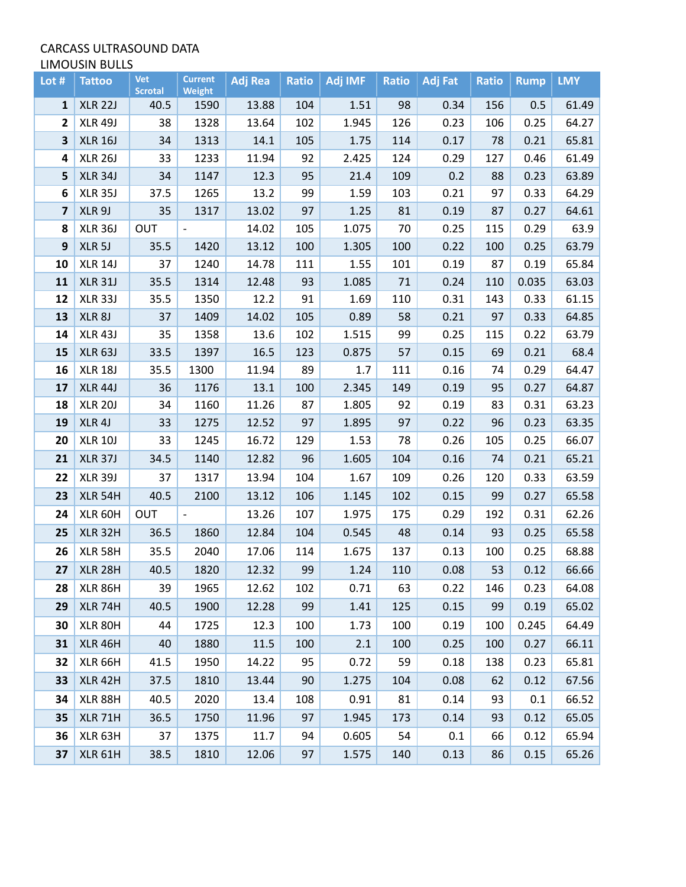## CARCASS ULTRASOUND DATA LIMOUSIN BULLS

| Lot #                   | <b>Tattoo</b>      | Vet<br><b>Scrotal</b> | <b>Current</b><br><b>Weight</b> | <b>Adj Rea</b> | <b>Ratio</b> | Adj IMF | <b>Ratio</b> | <b>Adj Fat</b> | <b>Ratio</b> | <b>Rump</b> | <b>LMY</b> |
|-------------------------|--------------------|-----------------------|---------------------------------|----------------|--------------|---------|--------------|----------------|--------------|-------------|------------|
| 1                       | <b>XLR 22J</b>     | 40.5                  | 1590                            | 13.88          | 104          | 1.51    | 98           | 0.34           | 156          | 0.5         | 61.49      |
| $\mathbf{2}$            | <b>XLR 49J</b>     | 38                    | 1328                            | 13.64          | 102          | 1.945   | 126          | 0.23           | 106          | 0.25        | 64.27      |
| 3                       | <b>XLR 16J</b>     | 34                    | 1313                            | 14.1           | 105          | 1.75    | 114          | 0.17           | 78           | 0.21        | 65.81      |
| 4                       | <b>XLR 26J</b>     | 33                    | 1233                            | 11.94          | 92           | 2.425   | 124          | 0.29           | 127          | 0.46        | 61.49      |
| 5                       | <b>XLR 34J</b>     | 34                    | 1147                            | 12.3           | 95           | 21.4    | 109          | 0.2            | 88           | 0.23        | 63.89      |
| 6                       | <b>XLR 35J</b>     | 37.5                  | 1265                            | 13.2           | 99           | 1.59    | 103          | 0.21           | 97           | 0.33        | 64.29      |
| $\overline{\mathbf{z}}$ | XLR 9J             | 35                    | 1317                            | 13.02          | 97           | 1.25    | 81           | 0.19           | 87           | 0.27        | 64.61      |
| 8                       | <b>XLR 36J</b>     | OUT                   | $\overline{\phantom{a}}$        | 14.02          | 105          | 1.075   | 70           | 0.25           | 115          | 0.29        | 63.9       |
| 9                       | XLR <sub>5</sub> J | 35.5                  | 1420                            | 13.12          | 100          | 1.305   | 100          | 0.22           | 100          | 0.25        | 63.79      |
| 10                      | <b>XLR 14J</b>     | 37                    | 1240                            | 14.78          | 111          | 1.55    | 101          | 0.19           | 87           | 0.19        | 65.84      |
| 11                      | <b>XLR 31J</b>     | 35.5                  | 1314                            | 12.48          | 93           | 1.085   | 71           | 0.24           | 110          | 0.035       | 63.03      |
| 12                      | XLR 33J            | 35.5                  | 1350                            | 12.2           | 91           | 1.69    | 110          | 0.31           | 143          | 0.33        | 61.15      |
| 13                      | XLR <sub>8J</sub>  | 37                    | 1409                            | 14.02          | 105          | 0.89    | 58           | 0.21           | 97           | 0.33        | 64.85      |
| 14                      | <b>XLR 43J</b>     | 35                    | 1358                            | 13.6           | 102          | 1.515   | 99           | 0.25           | 115          | 0.22        | 63.79      |
| 15                      | <b>XLR 63J</b>     | 33.5                  | 1397                            | 16.5           | 123          | 0.875   | 57           | 0.15           | 69           | 0.21        | 68.4       |
| 16                      | <b>XLR 18J</b>     | 35.5                  | 1300                            | 11.94          | 89           | 1.7     | 111          | 0.16           | 74           | 0.29        | 64.47      |
| 17                      | <b>XLR 44J</b>     | 36                    | 1176                            | 13.1           | 100          | 2.345   | 149          | 0.19           | 95           | 0.27        | 64.87      |
| 18                      | <b>XLR 20J</b>     | 34                    | 1160                            | 11.26          | 87           | 1.805   | 92           | 0.19           | 83           | 0.31        | 63.23      |
| 19                      | XLR 4J             | 33                    | 1275                            | 12.52          | 97           | 1.895   | 97           | 0.22           | 96           | 0.23        | 63.35      |
| 20                      | <b>XLR 10J</b>     | 33                    | 1245                            | 16.72          | 129          | 1.53    | 78           | 0.26           | 105          | 0.25        | 66.07      |
| 21                      | <b>XLR 37J</b>     | 34.5                  | 1140                            | 12.82          | 96           | 1.605   | 104          | 0.16           | 74           | 0.21        | 65.21      |
| 22                      | <b>XLR 39J</b>     | 37                    | 1317                            | 13.94          | 104          | 1.67    | 109          | 0.26           | 120          | 0.33        | 63.59      |
| 23                      | <b>XLR 54H</b>     | 40.5                  | 2100                            | 13.12          | 106          | 1.145   | 102          | 0.15           | 99           | 0.27        | 65.58      |
| 24                      | XLR 60H            | OUT                   | $\qquad \qquad -$               | 13.26          | 107          | 1.975   | 175          | 0.29           | 192          | 0.31        | 62.26      |
| 25                      | <b>XLR 32H</b>     | 36.5                  | 1860                            | 12.84          | 104          | 0.545   | 48           | 0.14           | 93           | 0.25        | 65.58      |
| 26                      | <b>XLR 58H</b>     | 35.5                  | 2040                            | 17.06          | 114          | 1.675   | 137          | 0.13           | 100          | 0.25        | 68.88      |
| 27                      | <b>XLR 28H</b>     | 40.5                  | 1820                            | 12.32          | 99           | 1.24    | 110          | 0.08           | 53           | 0.12        | 66.66      |
| 28                      | XLR 86H            | 39                    | 1965                            | 12.62          | 102          | 0.71    | 63           | 0.22           | 146          | 0.23        | 64.08      |
| 29                      | XLR 74H            | 40.5                  | 1900                            | 12.28          | 99           | 1.41    | 125          | 0.15           | 99           | 0.19        | 65.02      |
| 30                      | XLR 80H            | 44                    | 1725                            | 12.3           | 100          | 1.73    | 100          | 0.19           | 100          | 0.245       | 64.49      |
| 31                      | <b>XLR 46H</b>     | 40                    | 1880                            | 11.5           | 100          | 2.1     | 100          | 0.25           | 100          | 0.27        | 66.11      |
| 32                      | <b>XLR 66H</b>     | 41.5                  | 1950                            | 14.22          | 95           | 0.72    | 59           | 0.18           | 138          | 0.23        | 65.81      |
| 33                      | <b>XLR 42H</b>     | 37.5                  | 1810                            | 13.44          | 90           | 1.275   | 104          | 0.08           | 62           | 0.12        | 67.56      |
| 34                      | <b>XLR 88H</b>     | 40.5                  | 2020                            | 13.4           | 108          | 0.91    | 81           | 0.14           | 93           | 0.1         | 66.52      |
| 35                      | <b>XLR 71H</b>     | 36.5                  | 1750                            | 11.96          | 97           | 1.945   | 173          | 0.14           | 93           | 0.12        | 65.05      |
| 36                      | XLR 63H            | 37                    | 1375                            | 11.7           | 94           | 0.605   | 54           | 0.1            | 66           | 0.12        | 65.94      |
| 37                      | <b>XLR 61H</b>     | 38.5                  | 1810                            | 12.06          | 97           | 1.575   | 140          | 0.13           | 86           | 0.15        | 65.26      |